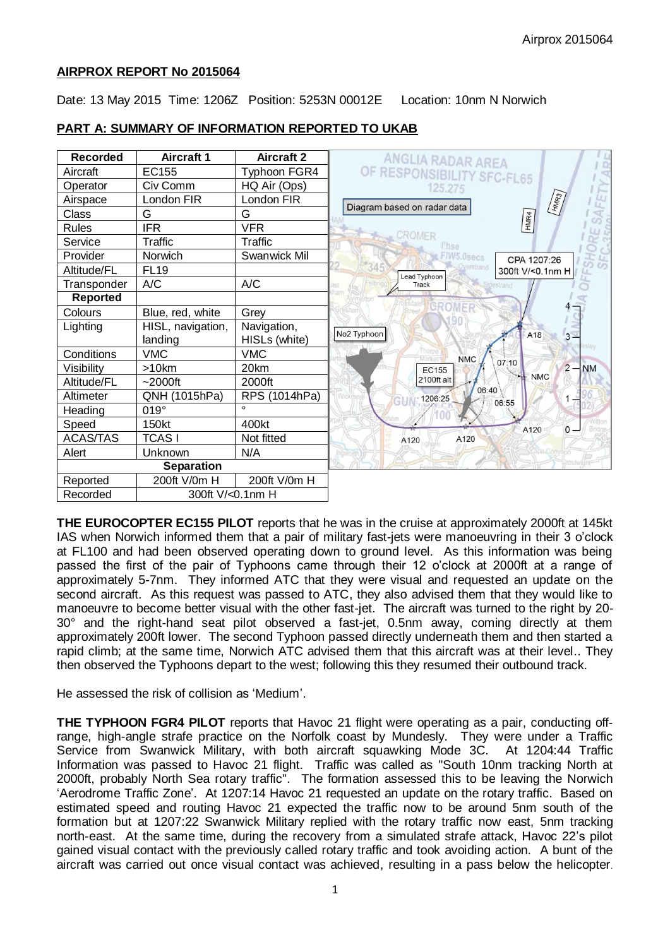#### **AIRPROX REPORT No 2015064**

Date: 13 May 2015 Time: 1206Z Position: 5253N 00012E Location: 10nm N Norwich

## **PART A: SUMMARY OF INFORMATION REPORTED TO UKAB**



**THE EUROCOPTER EC155 PILOT** reports that he was in the cruise at approximately 2000ft at 145kt IAS when Norwich informed them that a pair of military fast-jets were manoeuvring in their 3 o'clock at FL100 and had been observed operating down to ground level. As this information was being passed the first of the pair of Typhoons came through their 12 o'clock at 2000ft at a range of approximately 5-7nm. They informed ATC that they were visual and requested an update on the second aircraft. As this request was passed to ATC, they also advised them that they would like to manoeuvre to become better visual with the other fast-jet. The aircraft was turned to the right by 20- 30° and the right-hand seat pilot observed a fast-jet, 0.5nm away, coming directly at them approximately 200ft lower. The second Typhoon passed directly underneath them and then started a rapid climb; at the same time, Norwich ATC advised them that this aircraft was at their level.. They then observed the Typhoons depart to the west; following this they resumed their outbound track.

He assessed the risk of collision as 'Medium'.

**THE TYPHOON FGR4 PILOT** reports that Havoc 21 flight were operating as a pair, conducting offrange, high-angle strafe practice on the Norfolk coast by Mundesly. They were under a Traffic Service from Swanwick Military, with both aircraft squawking Mode 3C. At 1204:44 Traffic Information was passed to Havoc 21 flight. Traffic was called as "South 10nm tracking North at 2000ft, probably North Sea rotary traffic". The formation assessed this to be leaving the Norwich 'Aerodrome Traffic Zone'. At 1207:14 Havoc 21 requested an update on the rotary traffic. Based on estimated speed and routing Havoc 21 expected the traffic now to be around 5nm south of the formation but at 1207:22 Swanwick Military replied with the rotary traffic now east, 5nm tracking north-east. At the same time, during the recovery from a simulated strafe attack, Havoc 22's pilot gained visual contact with the previously called rotary traffic and took avoiding action. A bunt of the aircraft was carried out once visual contact was achieved, resulting in a pass below the helicopter.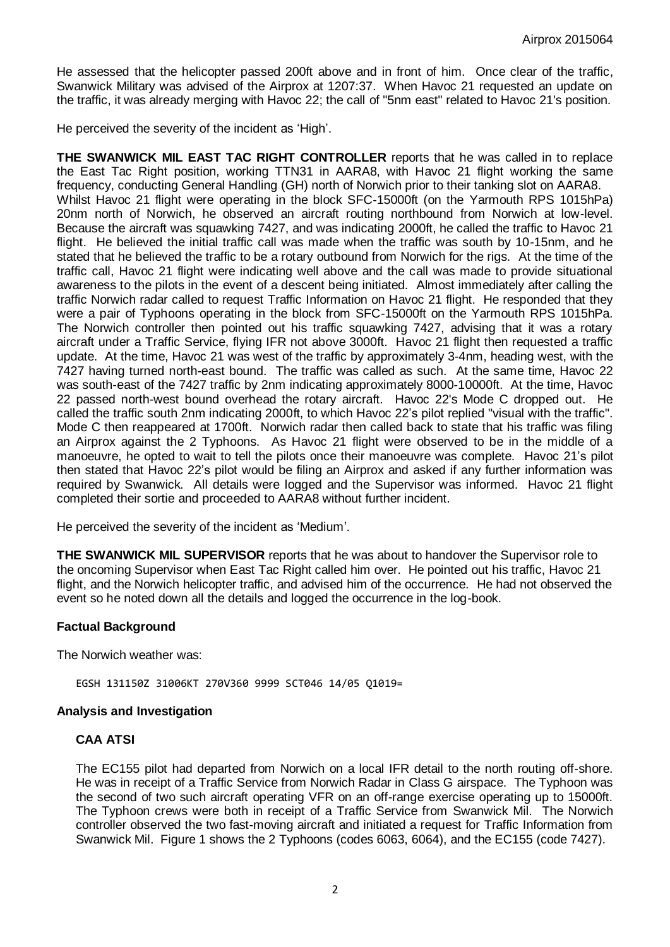He assessed that the helicopter passed 200ft above and in front of him. Once clear of the traffic, Swanwick Military was advised of the Airprox at 1207:37. When Havoc 21 requested an update on the traffic, it was already merging with Havoc 22; the call of "5nm east" related to Havoc 21's position.

He perceived the severity of the incident as 'High'.

**THE SWANWICK MIL EAST TAC RIGHT CONTROLLER** reports that he was called in to replace the East Tac Right position, working TTN31 in AARA8, with Havoc 21 flight working the same frequency, conducting General Handling (GH) north of Norwich prior to their tanking slot on AARA8. Whilst Havoc 21 flight were operating in the block SFC-15000ft (on the Yarmouth RPS 1015hPa) 20nm north of Norwich, he observed an aircraft routing northbound from Norwich at low-level. Because the aircraft was squawking 7427, and was indicating 2000ft, he called the traffic to Havoc 21 flight. He believed the initial traffic call was made when the traffic was south by 10-15nm, and he stated that he believed the traffic to be a rotary outbound from Norwich for the rigs. At the time of the traffic call, Havoc 21 flight were indicating well above and the call was made to provide situational awareness to the pilots in the event of a descent being initiated. Almost immediately after calling the traffic Norwich radar called to request Traffic Information on Havoc 21 flight. He responded that they were a pair of Typhoons operating in the block from SFC-15000ft on the Yarmouth RPS 1015hPa. The Norwich controller then pointed out his traffic squawking 7427, advising that it was a rotary aircraft under a Traffic Service, flying IFR not above 3000ft. Havoc 21 flight then requested a traffic update. At the time, Havoc 21 was west of the traffic by approximately 3-4nm, heading west, with the 7427 having turned north-east bound. The traffic was called as such. At the same time, Havoc 22 was south-east of the 7427 traffic by 2nm indicating approximately 8000-10000ft. At the time, Havoc 22 passed north-west bound overhead the rotary aircraft. Havoc 22's Mode C dropped out. He called the traffic south 2nm indicating 2000ft, to which Havoc 22's pilot replied "visual with the traffic". Mode C then reappeared at 1700ft. Norwich radar then called back to state that his traffic was filing an Airprox against the 2 Typhoons. As Havoc 21 flight were observed to be in the middle of a manoeuvre, he opted to wait to tell the pilots once their manoeuvre was complete. Havoc 21's pilot then stated that Havoc 22's pilot would be filing an Airprox and asked if any further information was required by Swanwick. All details were logged and the Supervisor was informed. Havoc 21 flight completed their sortie and proceeded to AARA8 without further incident.

He perceived the severity of the incident as 'Medium'.

**THE SWANWICK MIL SUPERVISOR** reports that he was about to handover the Supervisor role to the oncoming Supervisor when East Tac Right called him over. He pointed out his traffic, Havoc 21 flight, and the Norwich helicopter traffic, and advised him of the occurrence. He had not observed the event so he noted down all the details and logged the occurrence in the log-book.

### **Factual Background**

The Norwich weather was:

EGSH 131150Z 31006KT 270V360 9999 SCT046 14/05 Q1019=

#### **Analysis and Investigation**

#### **CAA ATSI**

The EC155 pilot had departed from Norwich on a local IFR detail to the north routing off-shore. He was in receipt of a Traffic Service from Norwich Radar in Class G airspace. The Typhoon was the second of two such aircraft operating VFR on an off-range exercise operating up to 15000ft. The Typhoon crews were both in receipt of a Traffic Service from Swanwick Mil. The Norwich controller observed the two fast-moving aircraft and initiated a request for Traffic Information from Swanwick Mil. Figure 1 shows the 2 Typhoons (codes 6063, 6064), and the EC155 (code 7427).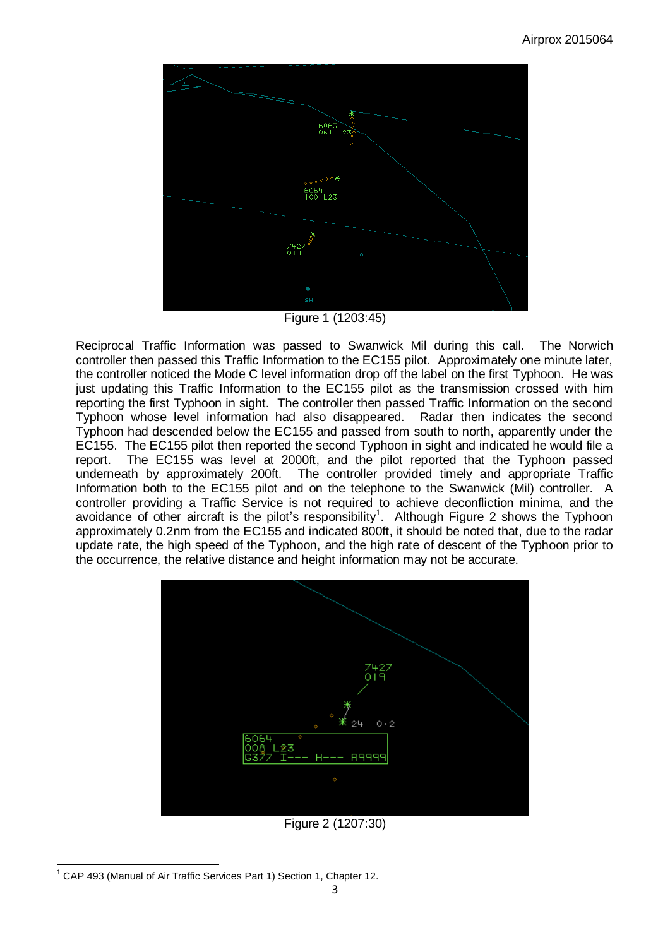

Figure 1 (1203:45)

Reciprocal Traffic Information was passed to Swanwick Mil during this call. The Norwich controller then passed this Traffic Information to the EC155 pilot. Approximately one minute later, the controller noticed the Mode C level information drop off the label on the first Typhoon. He was just updating this Traffic Information to the EC155 pilot as the transmission crossed with him reporting the first Typhoon in sight. The controller then passed Traffic Information on the second Typhoon whose level information had also disappeared. Radar then indicates the second Typhoon had descended below the EC155 and passed from south to north, apparently under the EC155. The EC155 pilot then reported the second Typhoon in sight and indicated he would file a report. The EC155 was level at 2000ft, and the pilot reported that the Typhoon passed underneath by approximately 200ft. The controller provided timely and appropriate Traffic Information both to the EC155 pilot and on the telephone to the Swanwick (Mil) controller. A controller providing a Traffic Service is not required to achieve deconfliction minima, and the avoidance of other aircraft is the pilot's responsibility<sup>1</sup>. Although Figure 2 shows the Typhoon approximately 0.2nm from the EC155 and indicated 800ft, it should be noted that, due to the radar update rate, the high speed of the Typhoon, and the high rate of descent of the Typhoon prior to the occurrence, the relative distance and height information may not be accurate.



 $\overline{a}$ <sup>1</sup> CAP 493 (Manual of Air Traffic Services Part 1) Section 1, Chapter 12.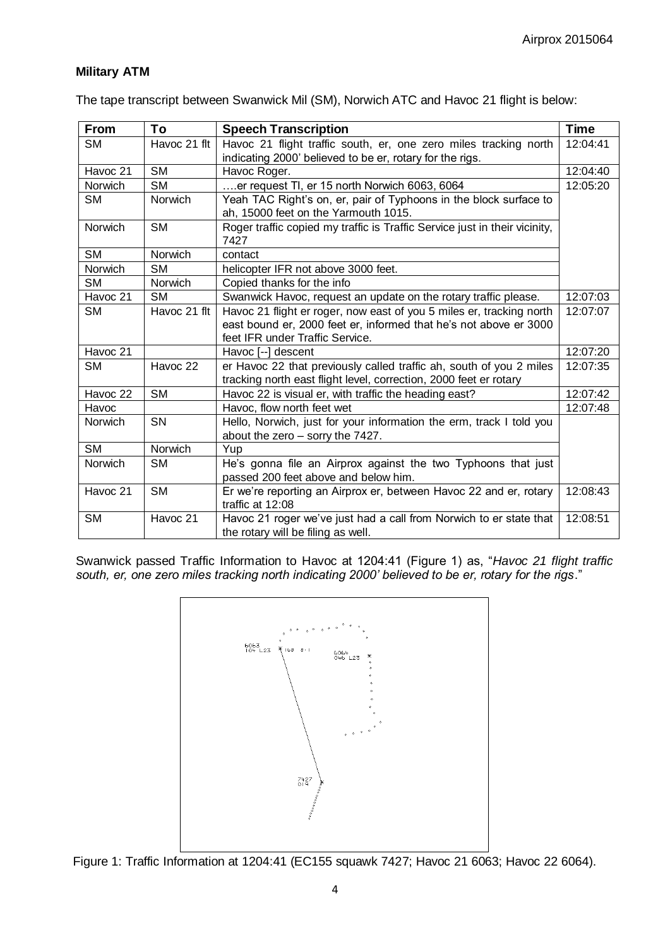# **Military ATM**

The tape transcript between Swanwick Mil (SM), Norwich ATC and Havoc 21 flight is below:

| From                | To             | <b>Speech Transcription</b>                                                                                                                                                  | <b>Time</b> |
|---------------------|----------------|------------------------------------------------------------------------------------------------------------------------------------------------------------------------------|-------------|
| <b>SM</b>           | Havoc 21 flt   | Havoc 21 flight traffic south, er, one zero miles tracking north                                                                                                             | 12:04:41    |
|                     |                | indicating 2000' believed to be er, rotary for the rigs.                                                                                                                     |             |
| Havoc 21            | <b>SM</b>      | Havoc Roger.                                                                                                                                                                 | 12:04:40    |
| Norwich             | <b>SM</b>      | er request TI, er 15 north Norwich 6063, 6064                                                                                                                                | 12:05:20    |
| <b>SM</b>           | <b>Norwich</b> | Yeah TAC Right's on, er, pair of Typhoons in the block surface to<br>ah, 15000 feet on the Yarmouth 1015.                                                                    |             |
| Norwich             | <b>SM</b>      | Roger traffic copied my traffic is Traffic Service just in their vicinity,<br>7427                                                                                           |             |
| <b>SM</b>           | Norwich        | contact                                                                                                                                                                      |             |
| <b>Norwich</b>      | <b>SM</b>      | helicopter IFR not above 3000 feet.                                                                                                                                          |             |
| <b>SM</b>           | Norwich        | Copied thanks for the info                                                                                                                                                   |             |
| Havoc 21            | <b>SM</b>      | Swanwick Havoc, request an update on the rotary traffic please.                                                                                                              | 12:07:03    |
| <b>SM</b>           | Havoc 21 flt   | Havoc 21 flight er roger, now east of you 5 miles er, tracking north<br>east bound er, 2000 feet er, informed that he's not above er 3000<br>feet IFR under Traffic Service. | 12:07:07    |
| Havoc 21            |                | Havoc [--] descent                                                                                                                                                           | 12:07:20    |
| SM.                 | Havoc 22       | er Havoc 22 that previously called traffic ah, south of you 2 miles<br>tracking north east flight level, correction, 2000 feet er rotary                                     | 12:07:35    |
| Havoc <sub>22</sub> | <b>SM</b>      | Havoc 22 is visual er, with traffic the heading east?                                                                                                                        | 12:07:42    |
| Havoc               |                | Havoc, flow north feet wet                                                                                                                                                   | 12:07:48    |
| Norwich             | SN             | Hello, Norwich, just for your information the erm, track I told you<br>about the zero - sorry the 7427.                                                                      |             |
| <b>SM</b>           | Norwich        | Yup                                                                                                                                                                          |             |
| Norwich             | <b>SM</b>      | He's gonna file an Airprox against the two Typhoons that just<br>passed 200 feet above and below him.                                                                        |             |
| Havoc 21            | <b>SM</b>      | Er we're reporting an Airprox er, between Havoc 22 and er, rotary<br>traffic at 12:08                                                                                        | 12:08:43    |
| <b>SM</b>           | Havoc 21       | Havoc 21 roger we've just had a call from Norwich to er state that<br>the rotary will be filing as well.                                                                     | 12:08:51    |

Swanwick passed Traffic Information to Havoc at 1204:41 (Figure 1) as, "*Havoc 21 flight traffic south, er, one zero miles tracking north indicating 2000' believed to be er, rotary for the rigs*."



Figure 1: Traffic Information at 1204:41 (EC155 squawk 7427; Havoc 21 6063; Havoc 22 6064).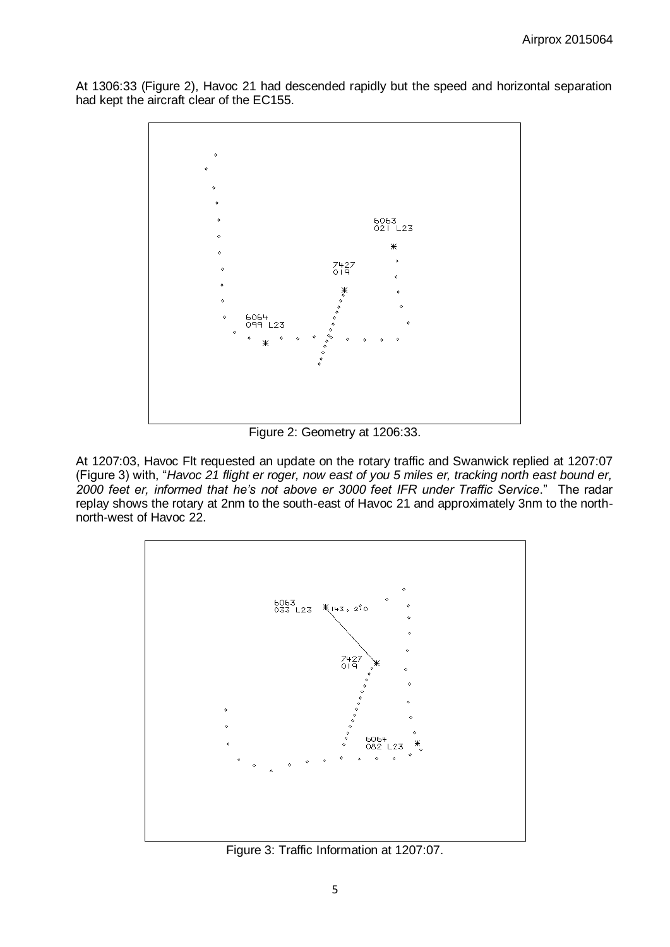At 1306:33 (Figure 2), Havoc 21 had descended rapidly but the speed and horizontal separation had kept the aircraft clear of the EC155.



Figure 2: Geometry at 1206:33.

At 1207:03, Havoc Flt requested an update on the rotary traffic and Swanwick replied at 1207:07 (Figure 3) with, "*Havoc 21 flight er roger, now east of you 5 miles er, tracking north east bound er, 2000 feet er, informed that he's not above er 3000 feet IFR under Traffic Service*." The radar replay shows the rotary at 2nm to the south-east of Havoc 21 and approximately 3nm to the northnorth-west of Havoc 22.



Figure 3: Traffic Information at 1207:07.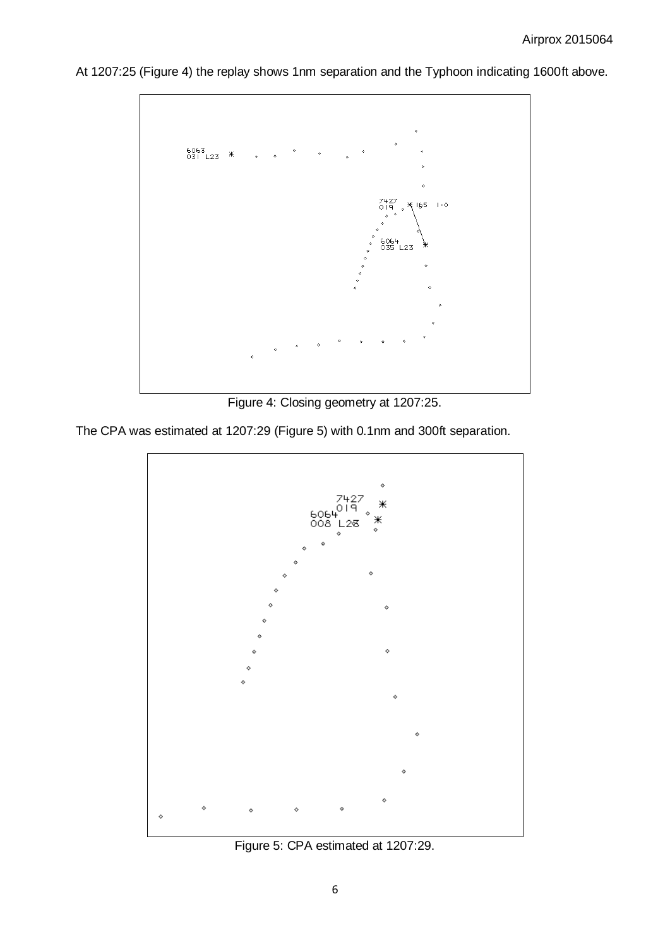

At 1207:25 (Figure 4) the replay shows 1nm separation and the Typhoon indicating 1600ft above.

Figure 4: Closing geometry at 1207:25.

The CPA was estimated at 1207:29 (Figure 5) with 0.1nm and 300ft separation.



Figure 5: CPA estimated at 1207:29.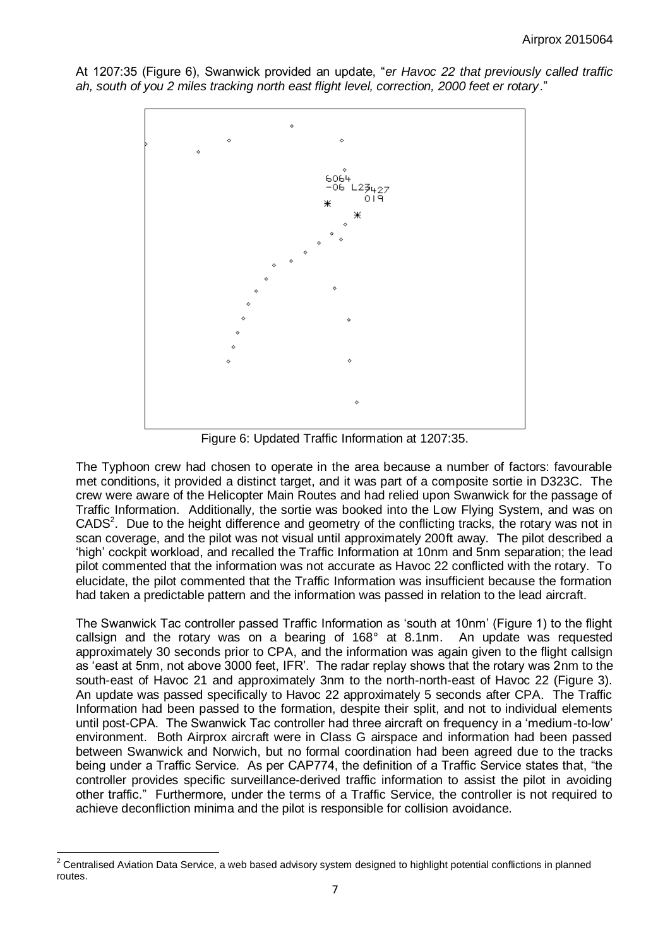At 1207:35 (Figure 6), Swanwick provided an update, "*er Havoc 22 that previously called traffic ah, south of you 2 miles tracking north east flight level, correction, 2000 feet er rotary*."



Figure 6: Updated Traffic Information at 1207:35.

The Typhoon crew had chosen to operate in the area because a number of factors: favourable met conditions, it provided a distinct target, and it was part of a composite sortie in D323C. The crew were aware of the Helicopter Main Routes and had relied upon Swanwick for the passage of Traffic Information. Additionally, the sortie was booked into the Low Flying System, and was on  $CADS<sup>2</sup>$ . Due to the height difference and geometry of the conflicting tracks, the rotary was not in scan coverage, and the pilot was not visual until approximately 200ft away. The pilot described a 'high' cockpit workload, and recalled the Traffic Information at 10nm and 5nm separation; the lead pilot commented that the information was not accurate as Havoc 22 conflicted with the rotary. To elucidate, the pilot commented that the Traffic Information was insufficient because the formation had taken a predictable pattern and the information was passed in relation to the lead aircraft.

The Swanwick Tac controller passed Traffic Information as 'south at 10nm' (Figure 1) to the flight callsign and the rotary was on a bearing of 168° at 8.1nm. An update was requested approximately 30 seconds prior to CPA, and the information was again given to the flight callsign as 'east at 5nm, not above 3000 feet, IFR'. The radar replay shows that the rotary was 2nm to the south-east of Havoc 21 and approximately 3nm to the north-north-east of Havoc 22 (Figure 3). An update was passed specifically to Havoc 22 approximately 5 seconds after CPA. The Traffic Information had been passed to the formation, despite their split, and not to individual elements until post-CPA. The Swanwick Tac controller had three aircraft on frequency in a 'medium-to-low' environment. Both Airprox aircraft were in Class G airspace and information had been passed between Swanwick and Norwich, but no formal coordination had been agreed due to the tracks being under a Traffic Service. As per CAP774, the definition of a Traffic Service states that, "the controller provides specific surveillance-derived traffic information to assist the pilot in avoiding other traffic." Furthermore, under the terms of a Traffic Service, the controller is not required to achieve deconfliction minima and the pilot is responsible for collision avoidance.

 $\overline{a}$  $2$  Centralised Aviation Data Service, a web based advisory system designed to highlight potential conflictions in planned routes.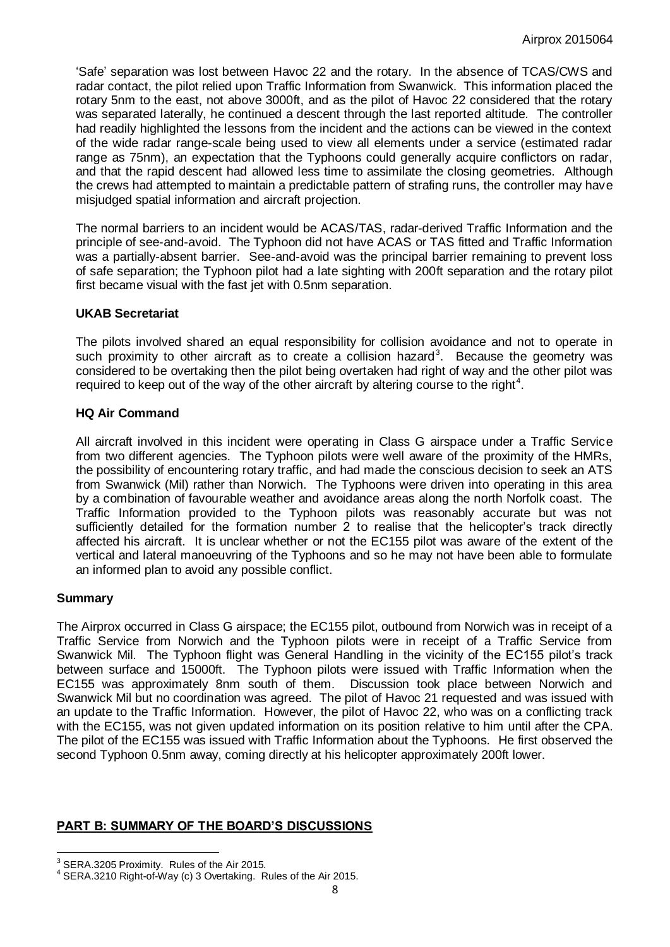'Safe' separation was lost between Havoc 22 and the rotary. In the absence of TCAS/CWS and radar contact, the pilot relied upon Traffic Information from Swanwick. This information placed the rotary 5nm to the east, not above 3000ft, and as the pilot of Havoc 22 considered that the rotary was separated laterally, he continued a descent through the last reported altitude. The controller had readily highlighted the lessons from the incident and the actions can be viewed in the context of the wide radar range-scale being used to view all elements under a service (estimated radar range as 75nm), an expectation that the Typhoons could generally acquire conflictors on radar, and that the rapid descent had allowed less time to assimilate the closing geometries. Although the crews had attempted to maintain a predictable pattern of strafing runs, the controller may have misjudged spatial information and aircraft projection.

The normal barriers to an incident would be ACAS/TAS, radar-derived Traffic Information and the principle of see-and-avoid. The Typhoon did not have ACAS or TAS fitted and Traffic Information was a partially-absent barrier. See-and-avoid was the principal barrier remaining to prevent loss of safe separation; the Typhoon pilot had a late sighting with 200ft separation and the rotary pilot first became visual with the fast jet with 0.5nm separation.

### **UKAB Secretariat**

The pilots involved shared an equal responsibility for collision avoidance and not to operate in such proximity to other aircraft as to create a collision hazard<sup>3</sup>. Because the geometry was considered to be overtaking then the pilot being overtaken had right of way and the other pilot was required to keep out of the way of the other aircraft by altering course to the right<sup>4</sup>.

#### **HQ Air Command**

All aircraft involved in this incident were operating in Class G airspace under a Traffic Service from two different agencies. The Typhoon pilots were well aware of the proximity of the HMRs, the possibility of encountering rotary traffic, and had made the conscious decision to seek an ATS from Swanwick (Mil) rather than Norwich. The Typhoons were driven into operating in this area by a combination of favourable weather and avoidance areas along the north Norfolk coast. The Traffic Information provided to the Typhoon pilots was reasonably accurate but was not sufficiently detailed for the formation number 2 to realise that the helicopter's track directly affected his aircraft. It is unclear whether or not the EC155 pilot was aware of the extent of the vertical and lateral manoeuvring of the Typhoons and so he may not have been able to formulate an informed plan to avoid any possible conflict.

### **Summary**

The Airprox occurred in Class G airspace; the EC155 pilot, outbound from Norwich was in receipt of a Traffic Service from Norwich and the Typhoon pilots were in receipt of a Traffic Service from Swanwick Mil. The Typhoon flight was General Handling in the vicinity of the EC155 pilot's track between surface and 15000ft. The Typhoon pilots were issued with Traffic Information when the EC155 was approximately 8nm south of them. Discussion took place between Norwich and Swanwick Mil but no coordination was agreed. The pilot of Havoc 21 requested and was issued with an update to the Traffic Information. However, the pilot of Havoc 22, who was on a conflicting track with the EC155, was not given updated information on its position relative to him until after the CPA. The pilot of the EC155 was issued with Traffic Information about the Typhoons. He first observed the second Typhoon 0.5nm away, coming directly at his helicopter approximately 200ft lower.

### **PART B: SUMMARY OF THE BOARD'S DISCUSSIONS**

 $\overline{a}$  $3$  SERA.3205 Proximity. Rules of the Air 2015.

 $4$  SERA.3210 Right-of-Way (c) 3 Overtaking. Rules of the Air 2015.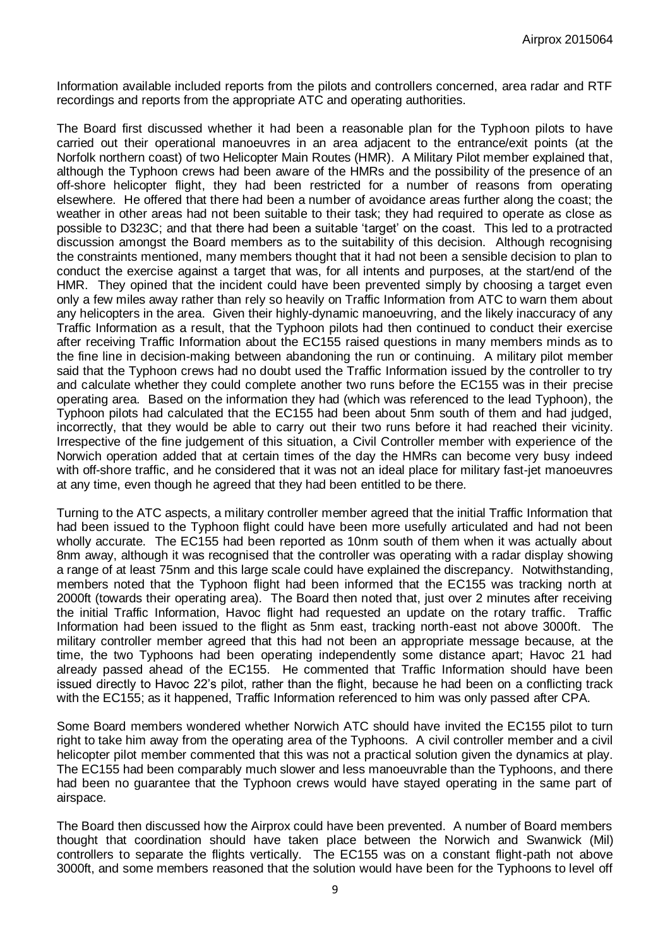Information available included reports from the pilots and controllers concerned, area radar and RTF recordings and reports from the appropriate ATC and operating authorities.

The Board first discussed whether it had been a reasonable plan for the Typhoon pilots to have carried out their operational manoeuvres in an area adjacent to the entrance/exit points (at the Norfolk northern coast) of two Helicopter Main Routes (HMR). A Military Pilot member explained that, although the Typhoon crews had been aware of the HMRs and the possibility of the presence of an off-shore helicopter flight, they had been restricted for a number of reasons from operating elsewhere. He offered that there had been a number of avoidance areas further along the coast; the weather in other areas had not been suitable to their task; they had required to operate as close as possible to D323C; and that there had been a suitable 'target' on the coast. This led to a protracted discussion amongst the Board members as to the suitability of this decision. Although recognising the constraints mentioned, many members thought that it had not been a sensible decision to plan to conduct the exercise against a target that was, for all intents and purposes, at the start/end of the HMR. They opined that the incident could have been prevented simply by choosing a target even only a few miles away rather than rely so heavily on Traffic Information from ATC to warn them about any helicopters in the area. Given their highly-dynamic manoeuvring, and the likely inaccuracy of any Traffic Information as a result, that the Typhoon pilots had then continued to conduct their exercise after receiving Traffic Information about the EC155 raised questions in many members minds as to the fine line in decision-making between abandoning the run or continuing. A military pilot member said that the Typhoon crews had no doubt used the Traffic Information issued by the controller to try and calculate whether they could complete another two runs before the EC155 was in their precise operating area. Based on the information they had (which was referenced to the lead Typhoon), the Typhoon pilots had calculated that the EC155 had been about 5nm south of them and had judged, incorrectly, that they would be able to carry out their two runs before it had reached their vicinity. Irrespective of the fine judgement of this situation, a Civil Controller member with experience of the Norwich operation added that at certain times of the day the HMRs can become very busy indeed with off-shore traffic, and he considered that it was not an ideal place for military fast-jet manoeuvres at any time, even though he agreed that they had been entitled to be there.

Turning to the ATC aspects, a military controller member agreed that the initial Traffic Information that had been issued to the Typhoon flight could have been more usefully articulated and had not been wholly accurate. The EC155 had been reported as 10nm south of them when it was actually about 8nm away, although it was recognised that the controller was operating with a radar display showing a range of at least 75nm and this large scale could have explained the discrepancy. Notwithstanding, members noted that the Typhoon flight had been informed that the EC155 was tracking north at 2000ft (towards their operating area). The Board then noted that, just over 2 minutes after receiving the initial Traffic Information, Havoc flight had requested an update on the rotary traffic. Traffic Information had been issued to the flight as 5nm east, tracking north-east not above 3000ft. The military controller member agreed that this had not been an appropriate message because, at the time, the two Typhoons had been operating independently some distance apart; Havoc 21 had already passed ahead of the EC155. He commented that Traffic Information should have been issued directly to Havoc 22's pilot, rather than the flight, because he had been on a conflicting track with the EC155; as it happened, Traffic Information referenced to him was only passed after CPA.

Some Board members wondered whether Norwich ATC should have invited the EC155 pilot to turn right to take him away from the operating area of the Typhoons. A civil controller member and a civil helicopter pilot member commented that this was not a practical solution given the dynamics at play. The EC155 had been comparably much slower and less manoeuvrable than the Typhoons, and there had been no guarantee that the Typhoon crews would have stayed operating in the same part of airspace.

The Board then discussed how the Airprox could have been prevented. A number of Board members thought that coordination should have taken place between the Norwich and Swanwick (Mil) controllers to separate the flights vertically. The EC155 was on a constant flight-path not above 3000ft, and some members reasoned that the solution would have been for the Typhoons to level off